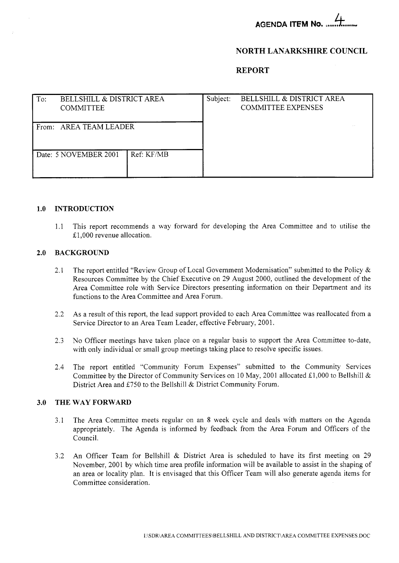# **NORTH LANARKSHIRE COUNCIL**

**REPORT** 

| To:                    | <b>BELLSHILL &amp; DISTRICT AREA</b><br><b>COMMITTEE</b> |            | Subject: | <b>BELLSHILL &amp; DISTRICT AREA</b><br><b>COMMITTEE EXPENSES</b> |
|------------------------|----------------------------------------------------------|------------|----------|-------------------------------------------------------------------|
| From: AREA TEAM LEADER |                                                          |            |          |                                                                   |
|                        | Date: 5 NOVEMBER 2001                                    | Ref: KF/MB |          |                                                                   |

### **1.0 INTRODUCTION**

1.1 This report recommends a way forward for developing the Area Committee and to utilise the £1,000 revenue allocation.

### **2.0 BACKGROUND**

- 2.1 The report entitled "Review Group of Local Government Modernisation" submitted to the Policy & Resources Committee by the Chief Executive on 29 August 2000, outlined the development of the Area Committee role with Service Directors presenting information on their Department and its functions to the Area Committee and Area Forum.
- 2.2 As a result of this report, the lead support provided to each Area Committee was reallocated from a Service Director to an Area Team Leader, effective February, 2001.
- 2.3 No Officer meetings have taken place on a regular basis to support the Area Committee to-date, with only individual or small group meetings taking place to resolve specific issues.
- 2.4 The report entitled "Community Forum Expenses" submitted to the Community Services Committee by the Director of Community Services on 10 May, 2001 allocated £1,000 to Bellshill & District Area and £750 to the Bellshill & District Community Forum.

#### **3.0 THE WAY FORWARD**

- 3.1 The Area Committee meets regular on an **8** week cycle and deals with matters on the Agenda appropriately. The Agenda is informed by feedback from the Area Forum and Officers of the Council.
- 3.2 An Officer Team for Bellshill & District Area is scheduled to have its first meeting on 29 November, 2001 by which time area profile information will be available to assist in the shaping of an area or locality plan. It is envisaged that this Officer Team will also generate agenda items for Committee consideration.